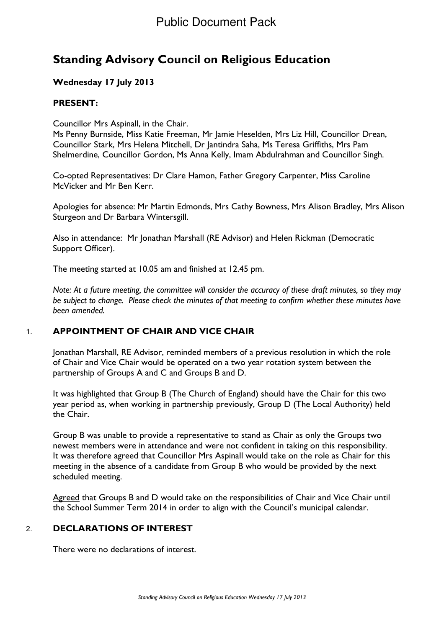# **Standing Advisory Council on Religious Education**

# **Wednesday 17 July 2013**

# **PRESENT:**

Councillor Mrs Aspinall, in the Chair.

Ms Penny Burnside, Miss Katie Freeman, Mr Jamie Heselden, Mrs Liz Hill, Councillor Drean, Councillor Stark, Mrs Helena Mitchell, Dr Jantindra Saha, Ms Teresa Griffiths, Mrs Pam Shelmerdine, Councillor Gordon, Ms Anna Kelly, Imam Abdulrahman and Councillor Singh.

Co-opted Representatives: Dr Clare Hamon, Father Gregory Carpenter, Miss Caroline McVicker and Mr Ben Kerr.

Apologies for absence: Mr Martin Edmonds, Mrs Cathy Bowness, Mrs Alison Bradley, Mrs Alison Sturgeon and Dr Barbara Wintersgill.

Also in attendance: Mr Jonathan Marshall (RE Advisor) and Helen Rickman (Democratic Support Officer).

The meeting started at 10.05 am and finished at 12.45 pm.

*Note: At a future meeting, the committee will consider the accuracy of these draft minutes, so they may be subject to change. Please check the minutes of that meeting to confirm whether these minutes have been amended.*

# 1. **APPOINTMENT OF CHAIR AND VICE CHAIR**

Jonathan Marshall, RE Advisor, reminded members of a previous resolution in which the role of Chair and Vice Chair would be operated on a two year rotation system between the partnership of Groups A and C and Groups B and D.

It was highlighted that Group B (The Church of England) should have the Chair for this two year period as, when working in partnership previously, Group D (The Local Authority) held the Chair.

Group B was unable to provide a representative to stand as Chair as only the Groups two newest members were in attendance and were not confident in taking on this responsibility. It was therefore agreed that Councillor Mrs Aspinall would take on the role as Chair for this meeting in the absence of a candidate from Group B who would be provided by the next scheduled meeting.

Agreed that Groups B and D would take on the responsibilities of Chair and Vice Chair until the School Summer Term 2014 in order to align with the Council's municipal calendar.

# 2. **DECLARATIONS OF INTEREST**

There were no declarations of interest.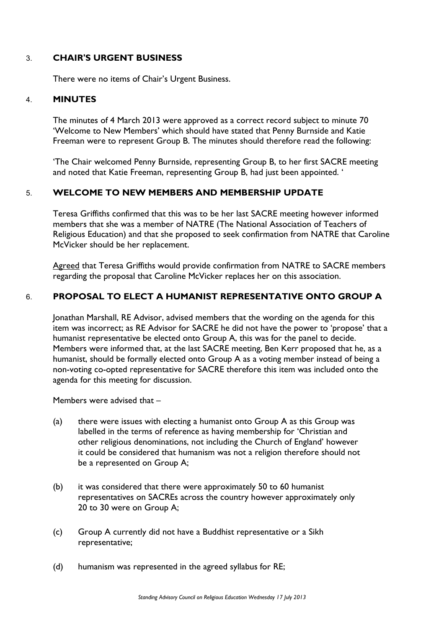# 3. **CHAIR'S URGENT BUSINESS**

There were no items of Chair's Urgent Business.

#### 4. **MINUTES**

The minutes of 4 March 2013 were approved as a correct record subject to minute 70 'Welcome to New Members' which should have stated that Penny Burnside and Katie Freeman were to represent Group B. The minutes should therefore read the following:

'The Chair welcomed Penny Burnside, representing Group B, to her first SACRE meeting and noted that Katie Freeman, representing Group B, had just been appointed. '

## 5. **WELCOME TO NEW MEMBERS AND MEMBERSHIP UPDATE**

Teresa Griffiths confirmed that this was to be her last SACRE meeting however informed members that she was a member of NATRE (The National Association of Teachers of Religious Education) and that she proposed to seek confirmation from NATRE that Caroline McVicker should be her replacement.

Agreed that Teresa Griffiths would provide confirmation from NATRE to SACRE members regarding the proposal that Caroline McVicker replaces her on this association.

## 6. **PROPOSAL TO ELECT A HUMANIST REPRESENTATIVE ONTO GROUP A**

Jonathan Marshall, RE Advisor, advised members that the wording on the agenda for this item was incorrect; as RE Advisor for SACRE he did not have the power to 'propose' that a humanist representative be elected onto Group A, this was for the panel to decide. Members were informed that, at the last SACRE meeting, Ben Kerr proposed that he, as a humanist, should be formally elected onto Group A as a voting member instead of being a non-voting co-opted representative for SACRE therefore this item was included onto the agenda for this meeting for discussion.

Members were advised that –

- (a) there were issues with electing a humanist onto Group A as this Group was labelled in the terms of reference as having membership for 'Christian and other religious denominations, not including the Church of England' however it could be considered that humanism was not a religion therefore should not be a represented on Group A;
- (b) it was considered that there were approximately 50 to 60 humanist representatives on SACREs across the country however approximately only 20 to 30 were on Group A;
- (c) Group A currently did not have a Buddhist representative or a Sikh representative;
- (d) humanism was represented in the agreed syllabus for RE;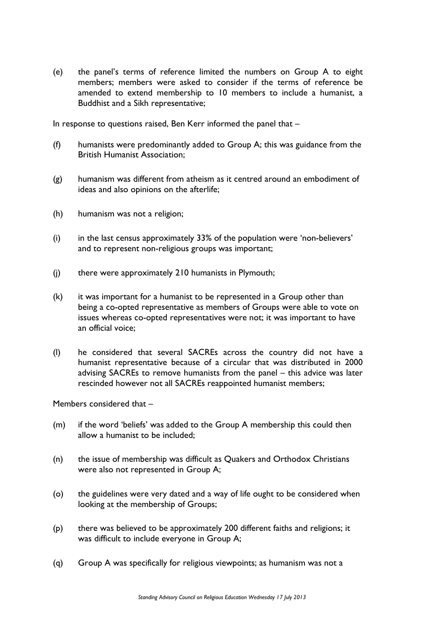(e) the panel's terms of reference limited the numbers on Group A to eight members; members were asked to consider if the terms of reference be amended to extend membership to 10 members to include a humanist, a Buddhist and a Sikh representative;

In response to questions raised, Ben Kerr informed the panel that –

- (f) humanists were predominantly added to Group A; this was guidance from the British Humanist Association;
- (g) humanism was different from atheism as it centred around an embodiment of ideas and also opinions on the afterlife;
- (h) humanism was not a religion;
- (i) in the last census approximately 33% of the population were 'non-believers' and to represent non-religious groups was important;
- (j) there were approximately 210 humanists in Plymouth;
- (k) it was important for a humanist to be represented in a Group other than being a co-opted representative as members of Groups were able to vote on issues whereas co-opted representatives were not; it was important to have an official voice;
- (l) he considered that several SACREs across the country did not have a humanist representative because of a circular that was distributed in 2000 advising SACREs to remove humanists from the panel – this advice was later rescinded however not all SACREs reappointed humanist members;

Members considered that –

- (m) if the word 'beliefs' was added to the Group A membership this could then allow a humanist to be included;
- (n) the issue of membership was difficult as Quakers and Orthodox Christians were also not represented in Group A;
- (o) the guidelines were very dated and a way of life ought to be considered when looking at the membership of Groups;
- (p) there was believed to be approximately 200 different faiths and religions; it was difficult to include everyone in Group A;
- (q) Group A was specifically for religious viewpoints; as humanism was not a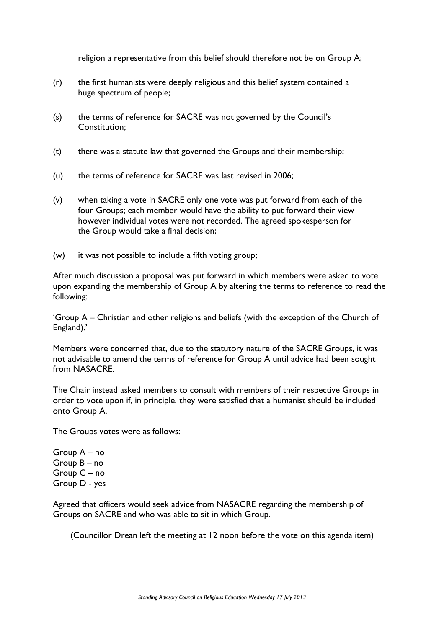religion a representative from this belief should therefore not be on Group A;

- (r) the first humanists were deeply religious and this belief system contained a huge spectrum of people;
- (s) the terms of reference for SACRE was not governed by the Council's Constitution;
- $(t)$  there was a statute law that governed the Groups and their membership;
- (u) the terms of reference for SACRE was last revised in 2006;
- (v) when taking a vote in SACRE only one vote was put forward from each of the four Groups; each member would have the ability to put forward their view however individual votes were not recorded. The agreed spokesperson for the Group would take a final decision;
- (w) it was not possible to include a fifth voting group;

After much discussion a proposal was put forward in which members were asked to vote upon expanding the membership of Group A by altering the terms to reference to read the following:

'Group A – Christian and other religions and beliefs (with the exception of the Church of England).'

Members were concerned that, due to the statutory nature of the SACRE Groups, it was not advisable to amend the terms of reference for Group A until advice had been sought from NASACRE.

The Chair instead asked members to consult with members of their respective Groups in order to vote upon if, in principle, they were satisfied that a humanist should be included onto Group A.

The Groups votes were as follows:

Group A – no Group B – no Group C – no Group D - yes

Agreed that officers would seek advice from NASACRE regarding the membership of Groups on SACRE and who was able to sit in which Group.

(Councillor Drean left the meeting at 12 noon before the vote on this agenda item)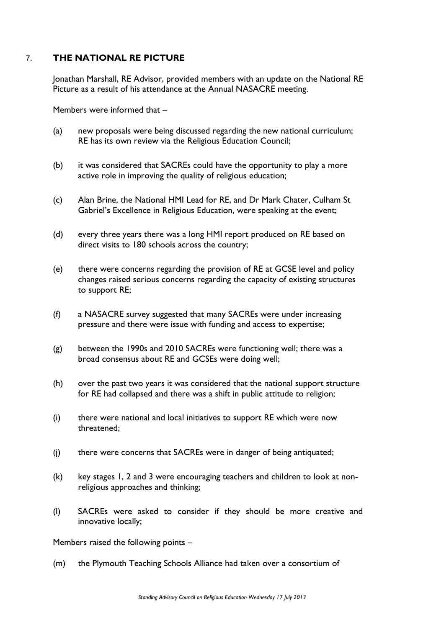# 7. **THE NATIONAL RE PICTURE**

Jonathan Marshall, RE Advisor, provided members with an update on the National RE Picture as a result of his attendance at the Annual NASACRE meeting.

Members were informed that –

- (a) new proposals were being discussed regarding the new national curriculum; RE has its own review via the Religious Education Council;
- (b) it was considered that SACREs could have the opportunity to play a more active role in improving the quality of religious education;
- (c) Alan Brine, the National HMI Lead for RE, and Dr Mark Chater, Culham St Gabriel's Excellence in Religious Education, were speaking at the event;
- (d) every three years there was a long HMI report produced on RE based on direct visits to 180 schools across the country;
- (e) there were concerns regarding the provision of RE at GCSE level and policy changes raised serious concerns regarding the capacity of existing structures to support RE;
- (f) a NASACRE survey suggested that many SACREs were under increasing pressure and there were issue with funding and access to expertise;
- (g) between the 1990s and 2010 SACREs were functioning well; there was a broad consensus about RE and GCSEs were doing well;
- (h) over the past two years it was considered that the national support structure for RE had collapsed and there was a shift in public attitude to religion;
- (i) there were national and local initiatives to support RE which were now threatened;
- (j) there were concerns that SACREs were in danger of being antiquated;
- (k) key stages 1, 2 and 3 were encouraging teachers and children to look at nonreligious approaches and thinking;
- (l) SACREs were asked to consider if they should be more creative and innovative locally;

Members raised the following points –

(m) the Plymouth Teaching Schools Alliance had taken over a consortium of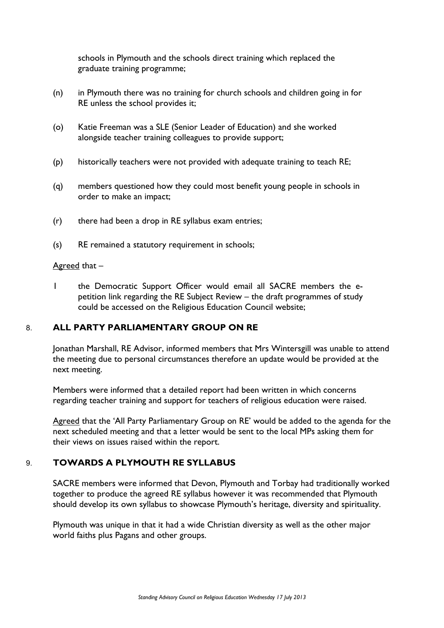schools in Plymouth and the schools direct training which replaced the graduate training programme;

- (n) in Plymouth there was no training for church schools and children going in for RE unless the school provides it;
- (o) Katie Freeman was a SLE (Senior Leader of Education) and she worked alongside teacher training colleagues to provide support;
- (p) historically teachers were not provided with adequate training to teach RE;
- (q) members questioned how they could most benefit young people in schools in order to make an impact;
- (r) there had been a drop in RE syllabus exam entries;
- (s) RE remained a statutory requirement in schools;

#### Agreed that –

1 the Democratic Support Officer would email all SACRE members the epetition link regarding the RE Subject Review – the draft programmes of study could be accessed on the Religious Education Council website;

# 8. **ALL PARTY PARLIAMENTARY GROUP ON RE**

Jonathan Marshall, RE Advisor, informed members that Mrs Wintersgill was unable to attend the meeting due to personal circumstances therefore an update would be provided at the next meeting.

Members were informed that a detailed report had been written in which concerns regarding teacher training and support for teachers of religious education were raised.

Agreed that the 'All Party Parliamentary Group on RE' would be added to the agenda for the next scheduled meeting and that a letter would be sent to the local MPs asking them for their views on issues raised within the report.

# 9. **TOWARDS A PLYMOUTH RE SYLLABUS**

SACRE members were informed that Devon, Plymouth and Torbay had traditionally worked together to produce the agreed RE syllabus however it was recommended that Plymouth should develop its own syllabus to showcase Plymouth's heritage, diversity and spirituality.

Plymouth was unique in that it had a wide Christian diversity as well as the other major world faiths plus Pagans and other groups.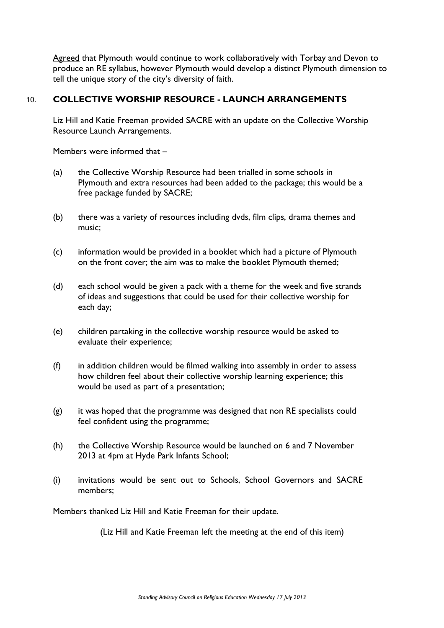Agreed that Plymouth would continue to work collaboratively with Torbay and Devon to produce an RE syllabus, however Plymouth would develop a distinct Plymouth dimension to tell the unique story of the city's diversity of faith.

# 10. **COLLECTIVE WORSHIP RESOURCE - LAUNCH ARRANGEMENTS**

Liz Hill and Katie Freeman provided SACRE with an update on the Collective Worship Resource Launch Arrangements.

Members were informed that –

- (a) the Collective Worship Resource had been trialled in some schools in Plymouth and extra resources had been added to the package; this would be a free package funded by SACRE;
- (b) there was a variety of resources including dvds, film clips, drama themes and music;
- (c) information would be provided in a booklet which had a picture of Plymouth on the front cover; the aim was to make the booklet Plymouth themed;
- (d) each school would be given a pack with a theme for the week and five strands of ideas and suggestions that could be used for their collective worship for each day;
- (e) children partaking in the collective worship resource would be asked to evaluate their experience;
- (f) in addition children would be filmed walking into assembly in order to assess how children feel about their collective worship learning experience; this would be used as part of a presentation;
- (g) it was hoped that the programme was designed that non RE specialists could feel confident using the programme;
- (h) the Collective Worship Resource would be launched on 6 and 7 November 2013 at 4pm at Hyde Park Infants School;
- (i) invitations would be sent out to Schools, School Governors and SACRE members;

Members thanked Liz Hill and Katie Freeman for their update.

(Liz Hill and Katie Freeman left the meeting at the end of this item)